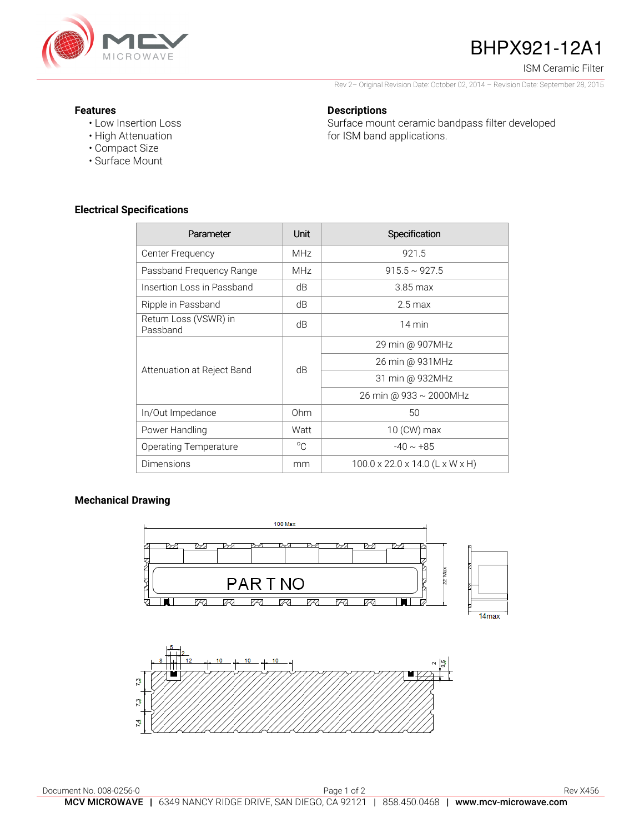

# BHPX921-12A1

ISM Ceramic Filter

Rev 2– Original Revision Date: October 02, 2014 – Revision Date: September 28, 2015

#### **Features**

- Low Insertion Loss
- High Attenuation
- Compact Size
- Surface Mount

## **Electrical Specifications**

| Parameter                         | Unit        | Specification                               |
|-----------------------------------|-------------|---------------------------------------------|
| Center Frequency                  | <b>MHz</b>  | 921.5                                       |
| Passband Frequency Range          | <b>MHz</b>  | $915.5 \sim 927.5$                          |
| Insertion Loss in Passband        | dB          | $3.85 \,\mathrm{max}$                       |
| Ripple in Passband                | dB          | $2.5 \,\mathrm{max}$                        |
| Return Loss (VSWR) in<br>Passband | dB          | 14 min                                      |
| Attenuation at Reject Band        | dB          | 29 min @ 907MHz                             |
|                                   |             | 26 min @ 931MHz                             |
|                                   |             | 31 min @ 932MHz                             |
|                                   |             | 26 min @ 933 ~ 2000MHz                      |
| In/Out Impedance                  | Ohm         | 50                                          |
| Power Handling                    | Watt        | 10 (CW) max                                 |
| Operating Temperature             | $^{\circ}C$ | $-40 \sim +85$                              |
| Dimensions                        | mm          | $100.0 \times 22.0 \times 14.0$ (L x W x H) |

### **Mechanical Drawing**

Ľ,



#### **Descriptions**

Surface mount ceramic bandpass filter developed for ISM band applications.